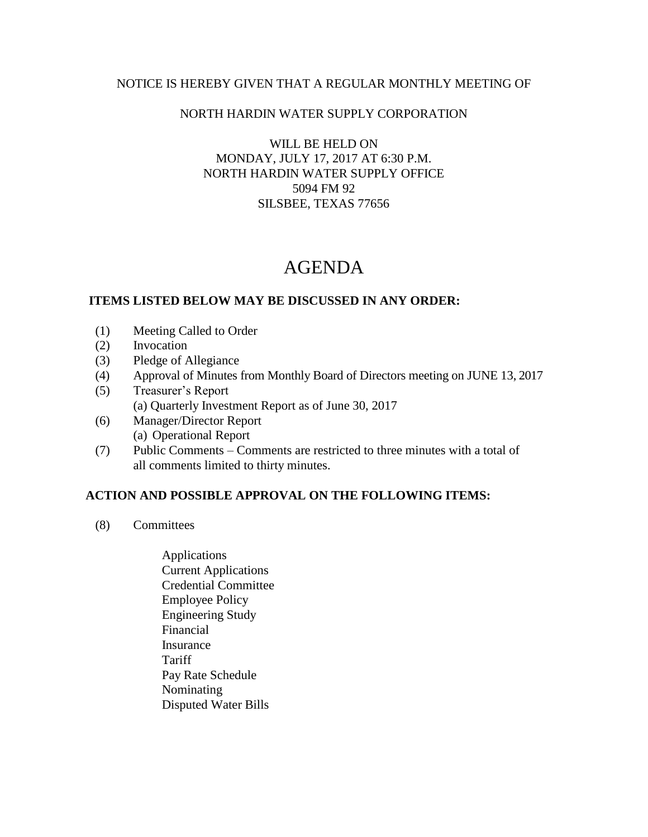### NOTICE IS HEREBY GIVEN THAT A REGULAR MONTHLY MEETING OF

## NORTH HARDIN WATER SUPPLY CORPORATION

WILL BE HELD ON MONDAY, JULY 17, 2017 AT 6:30 P.M. NORTH HARDIN WATER SUPPLY OFFICE 5094 FM 92 SILSBEE, TEXAS 77656

# AGENDA

### **ITEMS LISTED BELOW MAY BE DISCUSSED IN ANY ORDER:**

- (1) Meeting Called to Order
- (2) Invocation
- (3) Pledge of Allegiance
- (4) Approval of Minutes from Monthly Board of Directors meeting on JUNE 13, 2017
- (5) Treasurer's Report (a) Quarterly Investment Report as of June 30, 2017
- (6) Manager/Director Report (a) Operational Report
- (7) Public Comments Comments are restricted to three minutes with a total of all comments limited to thirty minutes.

### **ACTION AND POSSIBLE APPROVAL ON THE FOLLOWING ITEMS:**

- (8) Committees
	- Applications Current Applications Credential Committee Employee Policy Engineering Study Financial Insurance Tariff Pay Rate Schedule Nominating Disputed Water Bills